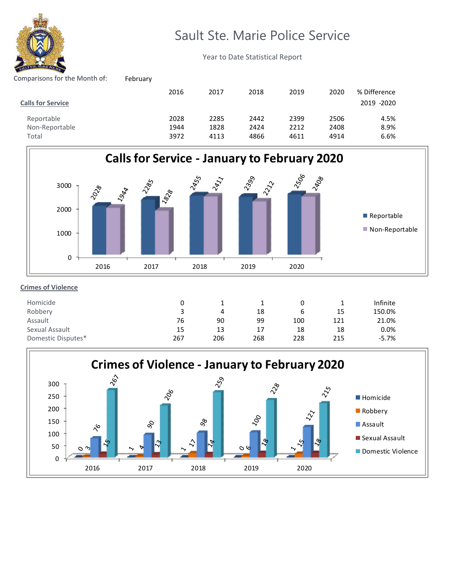

## Sault Ste. Marie Police Service

Year to Date Statistical Report

| Comparisons for the Month of: | February |      |      |      |      |      |              |
|-------------------------------|----------|------|------|------|------|------|--------------|
|                               |          | 2016 | 2017 | 2018 | 2019 | 2020 | % Difference |
| <b>Calls for Service</b>      |          |      |      |      |      |      | 2019 -2020   |
| Reportable                    |          | 2028 | 2285 | 2442 | 2399 | 2506 | 4.5%         |
| Non-Reportable                |          | 1944 | 1828 | 2424 | 2212 | 2408 | 8.9%         |
| Total                         |          | 3972 | 4113 | 4866 | 4611 | 4914 | 6.6%         |



## **Crimes of Violence**

| Homicide           |     |     |     |     |     | Infinite |
|--------------------|-----|-----|-----|-----|-----|----------|
| Robbery            |     | 4   | 18  | b   | 15  | 150.0%   |
| Assault            | 76  | 90  | 99  | 100 | 121 | 21.0%    |
| Sexual Assault     | 15  | 13  | 17  | 18  | 18  | 0.0%     |
| Domestic Disputes* | 267 | 206 | 268 | 228 | 215 | $-5.7%$  |